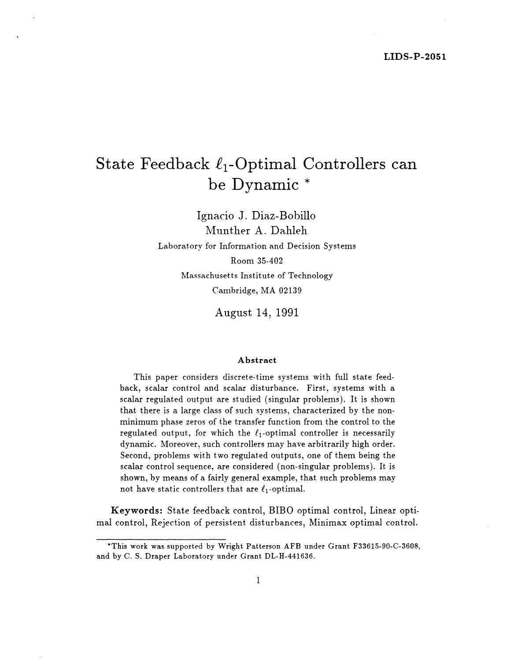# State Feedback  $\ell_1$ -Optimal Controllers can **be Dynamic \***

Ignacio J. Diaz-Bobillo Munther A. Dahleh Laboratory for Information and Decision Systems Room 35-402 Massachusetts Institute of Technology Cambridge, MA 02139

**August 14, 1991**

#### **Abstract**

This paper considers discrete-time systems with full state feedback, scalar control and scalar disturbance. First, systems with a scalar regulated output are studied (singular problems). It is shown that there is a large class of such systems, characterized by the nonminimum phase zeros of the transfer function from the control to the regulated output, for which the  $\ell_1$ -optimal controller is necessarily dynamic. Moreover, such controllers may have arbitrarily high order. Second, problems with two regulated outputs, one of them being the scalar control sequence, are considered (non-singular problems). It is shown, by means of a fairly general example, that such problems may not have static controllers that are  $\ell_1$ -optimal.

**Keywords:** State feedback control, BIBO optimal control, Linear optimal control, Rejection of persistent disturbances, Minimax optimal control.

<sup>\*</sup>This work was supported by Wright Patterson AFB under Grant F33615-90-C-3608, and by C. S. Draper Laboratory under Grant DL-H-441636.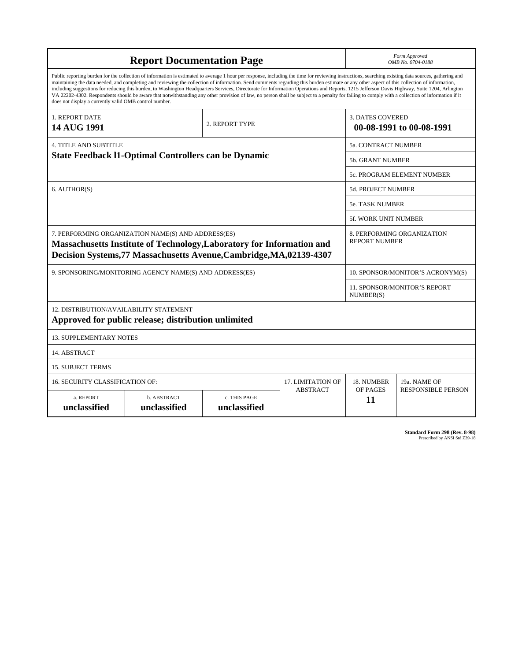| <b>Report Documentation Page</b>                                                                                                                                                                                                                                                                                                                                                                                                                                                                                                                                                                                                                                                                                                                                                                                                                                   |                             |                              |                                                     | Form Approved<br>OMB No. 0704-0188                 |                           |
|--------------------------------------------------------------------------------------------------------------------------------------------------------------------------------------------------------------------------------------------------------------------------------------------------------------------------------------------------------------------------------------------------------------------------------------------------------------------------------------------------------------------------------------------------------------------------------------------------------------------------------------------------------------------------------------------------------------------------------------------------------------------------------------------------------------------------------------------------------------------|-----------------------------|------------------------------|-----------------------------------------------------|----------------------------------------------------|---------------------------|
| Public reporting burden for the collection of information is estimated to average 1 hour per response, including the time for reviewing instructions, searching existing data sources, gathering and<br>maintaining the data needed, and completing and reviewing the collection of information. Send comments regarding this burden estimate or any other aspect of this collection of information,<br>including suggestions for reducing this burden, to Washington Headquarters Services, Directorate for Information Operations and Reports, 1215 Jefferson Davis Highway, Suite 1204, Arlington<br>VA 22202-4302. Respondents should be aware that notwithstanding any other provision of law, no person shall be subject to a penalty for failing to comply with a collection of information if it<br>does not display a currently valid OMB control number. |                             |                              |                                                     |                                                    |                           |
| 1. REPORT DATE<br>14 AUG 1991                                                                                                                                                                                                                                                                                                                                                                                                                                                                                                                                                                                                                                                                                                                                                                                                                                      | 2. REPORT TYPE              |                              | <b>3. DATES COVERED</b><br>00-08-1991 to 00-08-1991 |                                                    |                           |
| <b>4. TITLE AND SUBTITLE</b><br><b>State Feedback 11-Optimal Controllers can be Dynamic</b>                                                                                                                                                                                                                                                                                                                                                                                                                                                                                                                                                                                                                                                                                                                                                                        |                             |                              |                                                     | <b>5a. CONTRACT NUMBER</b>                         |                           |
|                                                                                                                                                                                                                                                                                                                                                                                                                                                                                                                                                                                                                                                                                                                                                                                                                                                                    |                             |                              |                                                     | <b>5b. GRANT NUMBER</b>                            |                           |
|                                                                                                                                                                                                                                                                                                                                                                                                                                                                                                                                                                                                                                                                                                                                                                                                                                                                    |                             |                              |                                                     | 5c. PROGRAM ELEMENT NUMBER                         |                           |
| 6. AUTHOR(S)                                                                                                                                                                                                                                                                                                                                                                                                                                                                                                                                                                                                                                                                                                                                                                                                                                                       |                             |                              |                                                     | 5d. PROJECT NUMBER                                 |                           |
|                                                                                                                                                                                                                                                                                                                                                                                                                                                                                                                                                                                                                                                                                                                                                                                                                                                                    |                             |                              |                                                     | <b>5e. TASK NUMBER</b>                             |                           |
|                                                                                                                                                                                                                                                                                                                                                                                                                                                                                                                                                                                                                                                                                                                                                                                                                                                                    |                             |                              |                                                     | <b>5f. WORK UNIT NUMBER</b>                        |                           |
| 7. PERFORMING ORGANIZATION NAME(S) AND ADDRESS(ES)<br>Massachusetts Institute of Technology, Laboratory for Information and<br>Decision Systems, 77 Massachusetts Avenue, Cambridge, MA, 02139-4307                                                                                                                                                                                                                                                                                                                                                                                                                                                                                                                                                                                                                                                                |                             |                              |                                                     | 8. PERFORMING ORGANIZATION<br><b>REPORT NUMBER</b> |                           |
| 9. SPONSORING/MONITORING AGENCY NAME(S) AND ADDRESS(ES)                                                                                                                                                                                                                                                                                                                                                                                                                                                                                                                                                                                                                                                                                                                                                                                                            |                             |                              |                                                     | 10. SPONSOR/MONITOR'S ACRONYM(S)                   |                           |
|                                                                                                                                                                                                                                                                                                                                                                                                                                                                                                                                                                                                                                                                                                                                                                                                                                                                    |                             |                              |                                                     | 11. SPONSOR/MONITOR'S REPORT<br>NUMBER(S)          |                           |
| 12. DISTRIBUTION/AVAILABILITY STATEMENT<br>Approved for public release; distribution unlimited                                                                                                                                                                                                                                                                                                                                                                                                                                                                                                                                                                                                                                                                                                                                                                     |                             |                              |                                                     |                                                    |                           |
| <b>13. SUPPLEMENTARY NOTES</b>                                                                                                                                                                                                                                                                                                                                                                                                                                                                                                                                                                                                                                                                                                                                                                                                                                     |                             |                              |                                                     |                                                    |                           |
| 14. ABSTRACT                                                                                                                                                                                                                                                                                                                                                                                                                                                                                                                                                                                                                                                                                                                                                                                                                                                       |                             |                              |                                                     |                                                    |                           |
| <b>15. SUBJECT TERMS</b>                                                                                                                                                                                                                                                                                                                                                                                                                                                                                                                                                                                                                                                                                                                                                                                                                                           |                             |                              |                                                     |                                                    |                           |
| 16. SECURITY CLASSIFICATION OF:<br><b>17. LIMITATION OF</b>                                                                                                                                                                                                                                                                                                                                                                                                                                                                                                                                                                                                                                                                                                                                                                                                        |                             |                              |                                                     | 18. NUMBER                                         | 19a. NAME OF              |
| a. REPORT<br>unclassified                                                                                                                                                                                                                                                                                                                                                                                                                                                                                                                                                                                                                                                                                                                                                                                                                                          | b. ABSTRACT<br>unclassified | c. THIS PAGE<br>unclassified | <b>ABSTRACT</b>                                     | OF PAGES<br>11                                     | <b>RESPONSIBLE PERSON</b> |

**Standard Form 298 (Rev. 8-98)**<br>Prescribed by ANSI Std Z39-18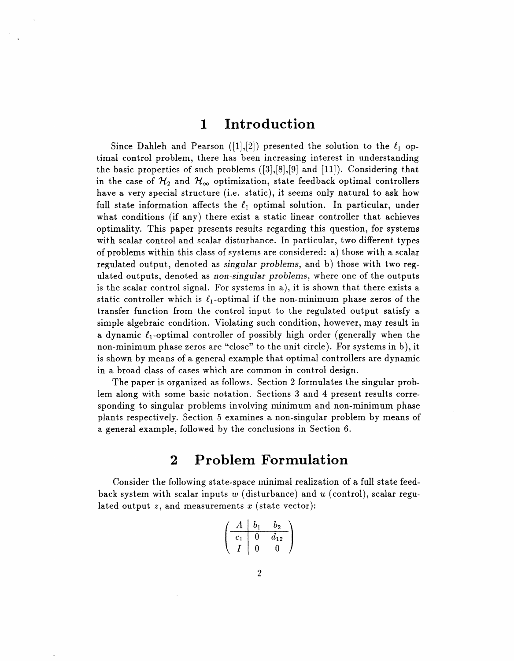### **1 Introduction**

Since Dahleh and Pearson ([1], [2]) presented the solution to the  $\ell_1$  optimal control problem, there has been increasing interest in understanding the basic properties of such problems  $([3],[8],[9]$  and  $[11])$ . Considering that in the case of  $\mathcal{H}_2$  and  $\mathcal{H}_{\infty}$  optimization, state feedback optimal controllers have a very special structure (i.e. static), it seems only natural to ask how full state information affects the  $\ell_1$  optimal solution. In particular, under what conditions (if any) there exist a static linear controller that achieves optimality. This paper presents results regarding this question, for systems with scalar control and scalar disturbance. In particular, two different types of problems within this class of systems are considered: a) those with a scalar regulated output, denoted as *singular problems,* and b) those with two regulated outputs, denoted as *non-singular problems,* where one of the outputs is the scalar control signal. For systems in a), it is shown that there exists a static controller which is  $\ell_1$ -optimal if the non-minimum phase zeros of the transfer function from the control input to the regulated output satisfy a simple algebraic condition. Violating such condition, however, may result in a dynamic  $\ell_1$ -optimal controller of possibly high order (generally when the non-minimum phase zeros are "close" to the unit circle). For systems in b), it is shown by means of a general example that optimal controllers are dynamic in a broad class of cases which are common in control design.

The paper is organized as follows. Section 2 formulates the singular problem along with some basic notation. Sections 3 and 4 present results corresponding to singular problems involving minimum and non-minimum phase plants respectively. Section 5 examines a non-singular problem by means of a general example, followed by the conclusions in Section 6.

#### **2 Problem Formulation**

Consider the following state-space minimal realization of a full state feedback system with scalar inputs w (disturbance) and *u* (control), scalar regulated output  $z$ , and measurements  $x$  (state vector):

$$
\left(\begin{array}{c|cc}A & b_1 & b_2 \\ \hline c_1 & 0 & d_{12} \\ I & 0 & 0 \end{array}\right)
$$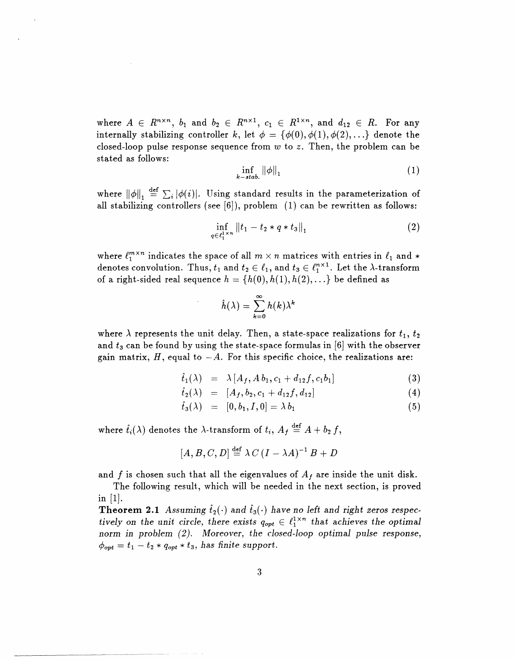where  $A \in R^{n \times n}$ ,  $b_1$  and  $b_2 \in R^{n \times 1}$ ,  $c_1 \in R^{1 \times n}$ , and  $d_{12} \in R$ . For any internally stabilizing controller k, let  $\phi = {\phi(0), \phi(1), \phi(2), \ldots}$  denote the closed-loop pulse response sequence from *w* to z. Then, the problem can be stated as follows:

$$
\inf_{k-\text{stab.}} ||\phi||_1 \tag{1}
$$

where  $\|\phi\|_1 \stackrel{\text{def}}{=} \sum_i |\phi(i)|$ . Using standard results in the parameterization of all stabilizing controllers (see [6]), problem (1) can be rewritten as follows:

$$
\inf_{q \in \ell_1^{1 \times n}} ||t_1 - t_2 * q * t_3||_1 \tag{2}
$$

where  $\ell_1^{m \times n}$  indicates the space of all  $m \times n$  matrices with entries in  $\ell_1$  and \* denotes convolution. Thus,  $t_1$  and  $t_2 \in \ell_1$ , and  $t_3 \in \ell_1^{n \times 1}$ . Let the  $\lambda$ -transform of a right-sided real sequence  $h = \{h(0), h(1), h(2), ...\}$  be defined as

$$
\hat{h}(\lambda) = \sum_{k=0}^{\infty} h(k) \lambda^k
$$

where  $\lambda$  represents the unit delay. Then, a state-space realizations for  $t_1$ ,  $t_2$ and  $t_3$  can be found by using the state-space formulas in [6] with the observer gain matrix,  $H$ , equal to  $-A$ . For this specific choice, the realizations are:

$$
\hat{t}_1(\lambda) = \lambda [A_f, A b_1, c_1 + d_{12} f, c_1 b_1]
$$
 (3)

$$
\hat{t}_2(\lambda) = [A_f, b_2, c_1 + d_{12}f, d_{12}] \tag{4}
$$

$$
\hat{t}_3(\lambda) = [0, b_1, I, 0] = \lambda b_1 \tag{5}
$$

where  $\hat{t}_i(\lambda)$  denotes the  $\lambda$ -transform of  $t_i$ ,  $A_f \stackrel{\text{def}}{=} A + b_2 f$ ,

$$
[A, B, C, D] \stackrel{\text{def}}{=} \lambda C (I - \lambda A)^{-1} B + D
$$

and  $f$  is chosen such that all the eigenvalues of  $A_f$  are inside the unit disk.

The following result, which will be needed in the next section, is proved in [1].

**Theorem 2.1** Assuming  $\hat{t}_2(\cdot)$  and  $\hat{t}_3(\cdot)$  have no left and right zeros respec*tively on the unit circle, there exists*  $q_{opt} \in \ell_1^{1 \times n}$  *that achieves the optimal norm in problem (2). Moreover, the closed-loop optimal pulse response,*  $\phi_{opt} = t_1 - t_2 * q_{opt} * t_3$ , has finite support.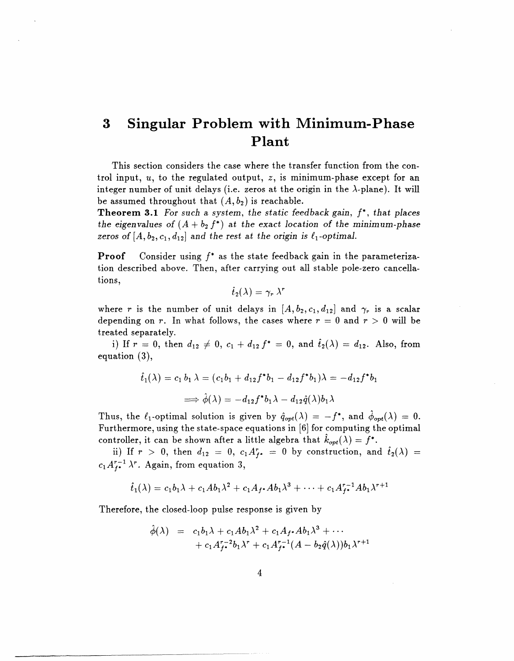## **3 Singular Problem with Minimum-Phase Plant**

This section considers the case where the transfer function from the control input, *u,* to the regulated output, z, is minimum-phase except for an integer number of unit delays (i.e. zeros at the origin in the  $\lambda$ -plane). It will be assumed throughout that  $(A, b_2)$  is reachable.

**Theorem 3.1** *For such a system, the static feedback gain, f\*, that places* the eigenvalues of  $(A + b_2 f^*)$  at the exact location of the minimum-phase zeros of  $[A, b_2, c_1, d_{12}]$  and the rest at the origin is  $\ell_1$ -optimal.

**Proof** Consider using *f\** as the state feedback gain in the parameterization described above. Then, after carrying out all stable pole-zero cancellations,

$$
{\widehat t}_2(\lambda) = \gamma_r\,\lambda^r
$$

where *r* is the number of unit delays in  $[A, b_2, c_1, d_{12}]$  and  $\gamma_r$  is a scalar depending on *r*. In what follows, the cases where  $r = 0$  and  $r > 0$  will be treated separately.

i) If  $r = 0$ , then  $d_{12} \neq 0$ ,  $c_1 + d_{12} f^* = 0$ , and  $\hat{t}_2(\lambda) = d_{12}$ . Also, from equation (3),

$$
\hat{t}_1(\lambda) = c_1 b_1 \lambda = (c_1 b_1 + d_{12} f^* b_1 - d_{12} f^* b_1) \lambda = -d_{12} f^* b_1
$$
  

$$
\implies \hat{\phi}(\lambda) = -d_{12} f^* b_1 \lambda - d_{12} \hat{q}(\lambda) b_1 \lambda
$$

Thus, the  $\ell_1$ -optimal solution is given by  $\hat{q}_{opt}(\lambda) = -f^*$ , and  $\phi_{opt}(\lambda) = 0$ . Furthermore, using the state-space equations in [6] for computing the optimal controller, it can be shown after a little algebra that  $k_{opt}(\lambda) = f^*$ .

ii) If  $r > 0$ , then  $d_{12} = 0$ ,  $c_1 A_f^r = 0$  by construction, and  $\tilde{t}_2(\lambda) =$  $c_1 A^{r-1}_{l} \lambda^r$ . Again, from equation 3,

$$
\hat{t}_1(\lambda) = c_1b_1\lambda + c_1Ab_1\lambda^2 + c_1A_f \cdot Ab_1\lambda^3 + \cdots + c_1A_f^{r-1}Ab_1\lambda^{r+1}
$$

Therefore, the closed-loop pulse response is given by

$$
\hat{\phi}(\lambda) = c_1 b_1 \lambda + c_1 A b_1 \lambda^2 + c_1 A_f \cdot A b_1 \lambda^3 + \cdots + c_1 A_f^{r-2} b_1 \lambda^r + c_1 A_f^{r-1} (A - b_2 \hat{q}(\lambda)) b_1 \lambda^{r+1}
$$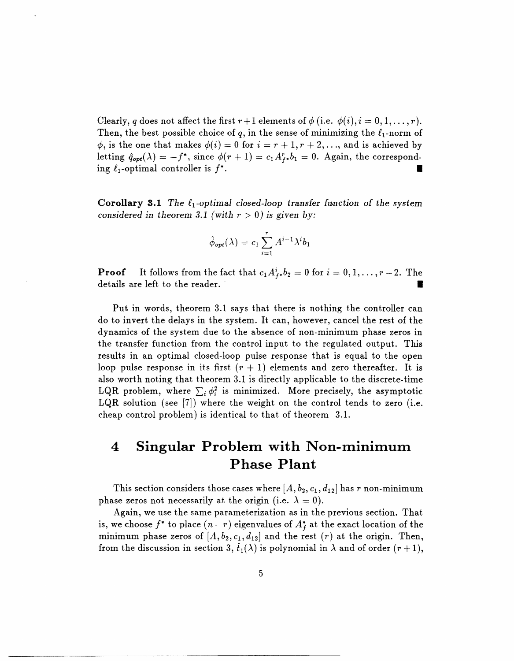Clearly, q does not affect the first  $r+1$  elements of  $\phi$  (i.e.  $\phi(i), i = 0, 1, \ldots, r$ ). Then, the best possible choice of q, in the sense of minimizing the  $\ell_1$ -norm of  $\phi$ , is the one that makes  $\phi(i) = 0$  for  $i = r + 1, r + 2, \ldots$ , and is achieved by letting  $\hat{q}_{opt}(\lambda) = -f^*$ , since  $\phi(r+1) = c_1 A_r^* b_1 = 0$ . Again, the corresponding  $\ell_1$ -optimal controller is  $f^*$ .

**Corollary 3.1** *The*  $\ell_1$ *-optimal closed-loop transfer function of the system considered in theorem 3.1 (with*  $r > 0$ *) is given by:* 

$$
\hat{\phi}_{opt}(\lambda) = c_1 \sum_{i=1}^r A^{i-1} \lambda^i b_1
$$

**Proof** It follows from the fact that  $c_1 A_i^i$ ,  $b_2 = 0$  for  $i = 0, 1, \ldots, r-2$ . The details are left to the reader.

Put in words, theorem 3.1 says that there is nothing the controller can do to invert the delays in the system. It can, however, cancel the rest of the dynamics of the system due to the absence of non-minimum phase zeros in the transfer function from the control input to the regulated output. This results in an optimal closed-loop pulse response that is equal to the open loop pulse response in its first  $(r + 1)$  elements and zero thereafter. It is also worth noting that theorem 3.1 is directly applicable to the discrete-time LQR problem, where  $\sum_i \phi_i^2$  is minimized. More precisely, the asymptotic LQR solution (see [7]) where the weight on the control tends to zero (i.e. cheap control problem) is identical to that of theorem 3.1.

## **4 Singular Problem with Non-minimum Phase Plant**

This section considers those cases where  $[A, b_2, c_1, d_{12}]$  has r non-minimum phase zeros not necessarily at the origin (i.e.  $\lambda = 0$ ).

Again, we use the same parameterization as in the previous section. That is, we choose  $f^*$  to place  $(n-r)$  eigenvalues of  $A_f^*$  at the exact location of the minimum phase zeros of  $[A, b_2, c_1, d_{12}]$  and the rest  $(r)$  at the origin. Then, from the discussion in section 3,  $\hat{t}_1(\lambda)$  is polynomial in  $\lambda$  and of order  $(r+1)$ ,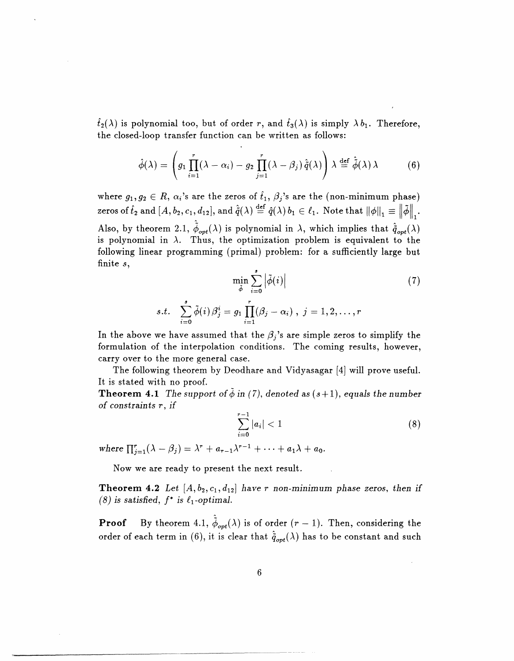$\hat{t}_2(\lambda)$  is polynomial too, but of order r, and  $\hat{t}_3(\lambda)$  is simply  $\lambda b_1$ . Therefore, the closed-loop transfer function can be written as follows:

$$
\hat{\phi}(\lambda) = \left( g_1 \prod_{i=1}^r (\lambda - \alpha_i) - g_2 \prod_{j=1}^r (\lambda - \beta_j) \, \hat{\tilde{q}}(\lambda) \right) \lambda \stackrel{\text{def}}{=} \hat{\tilde{\phi}}(\lambda) \, \lambda \tag{6}
$$

where  $g_1, g_2 \in R$ ,  $\alpha_i$ 's are the zeros of  $\hat{t}_1, \beta_j$ 's are the (non-minimum phase) zeros of  $\hat{t}_2$  and  $[A, b_2, c_1, d_{12}]$ , and  $\hat{\tilde{q}}(\lambda) \stackrel{\text{def}}{=} \hat{q}(\lambda) b_1 \in \ell_1$ . Note that  $||\phi||_1 \equiv ||\tilde{\phi}||$ . Also, by theorem 2.1,  $\hat{\phi}_{opt}(\lambda)$  is polynomial in  $\lambda$ , which implies that  $\hat{q}_{opt}(\lambda)$ is polynomial in  $\lambda$ . Thus, the optimization problem is equivalent to the following linear programming (primal) problem: for a sufficiently large but finite *s,*

$$
\min_{\tilde{\phi}} \sum_{i=0}^{s} \left| \tilde{\phi}(i) \right|
$$
\n
$$
s.t. \sum_{i=0}^{s} \tilde{\phi}(i) \beta_j^i = g_1 \prod_{i=1}^{r} (\beta_j - \alpha_i), \ j = 1, 2, \dots, r
$$
\n
$$
(7)
$$

In the above we have assumed that the  $\beta_j$ 's are simple zeros to simplify the formulation of the interpolation conditions. The coming results, however, carry over to the more general case.

The following theorem by Deodhare and Vidyasagar [4] will prove useful. It is stated with no proof.

**Theorem 4.1** *The support of*  $\phi$  *in (7), denoted as (s+1), equals the number of constraints r, if*

$$
\sum_{i=0}^{r-1} |a_i| < 1 \tag{8}
$$

where  $\prod_{i=1}^r (\lambda - \beta_i) = \lambda^r + a_{r-1}\lambda^{r-1} + \cdots + a_1\lambda + a_0$ .

Now we are ready to present the next result.

**Theorem 4.2** Let  $[A, b_2, c_1, d_{12}]$  have r non-minimum phase zeros, then if  $(8)$  is satisfied,  $f^*$  is  $\ell_1$ -optimal.

**Proof** By theorem 4.1,  $\hat{\phi}_{opt}(\lambda)$  is of order  $(r-1)$ . Then, considering the order of each term in (6), it is clear that  $\hat{q}_{opt}(\lambda)$  has to be constant and such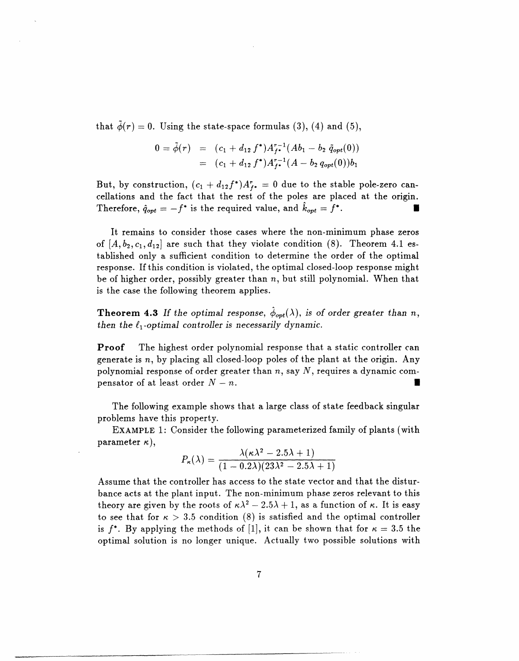that  $\tilde{\phi}(r) = 0$ . Using the state-space formulas (3), (4) and (5),

$$
0 = \tilde{\phi}(r) = (c_1 + d_{12} f^*) A_{f^*}^{r-1} (A b_1 - b_2 \tilde{q}_{opt}(0))
$$
  
=  $(c_1 + d_{12} f^*) A_{f^*}^{r-1} (A - b_2 q_{opt}(0)) b_1$ 

But, by construction,  $(c_1 + d_{12}f^*)A_{f^*}^r = 0$  due to the stable pole-zero cancellations and the fact that the rest of the poles are placed at the origin. Therefore,  $\hat{q}_{opt} = -f^*$  is the required value, and  $\hat{k}_{opt} = f^*$ .

It remains to consider those cases where the non-minimum phase zeros of  $[A, b_2, c_1, d_{12}]$  are such that they violate condition  $(8)$ . Theorem 4.1 established only a sufficient condition to determine the order of the optimal response. If this condition is violated, the optimal closed-loop response might be of higher order, possibly greater than  $n$ , but still polynomial. When that is the case the following theorem applies.

 $\bf Theorem~4.3$  If the optimal response,  $\hat{\phi}_{opt}(\lambda),$  is of order greater than  $n,$ then the  $\ell_1$ -optimal controller is necessarily dynamic.

**Proof** The highest order polynomial response that a static controller can generate is  $n$ , by placing all closed-loop poles of the plant at the origin. Any polynomial response of order greater than *n,* say *N,* requires a dynamic compensator of at least order  $N - n$ .

The following example shows that a large class of state feedback singular problems have this property.

**EXAMPLE** 1: Consider the following parameterized family of plants (with parameter  $\kappa$ ),

$$
P_{\kappa}(\lambda) = \frac{\lambda(\kappa\lambda^2 - 2.5\lambda + 1)}{(1 - 0.2\lambda)(23\lambda^2 - 2.5\lambda + 1)}
$$

Assume that the controller has access to the state vector and that the disturbance acts at the plant input. The non-minimum phase zeros relevant to this theory are given by the roots of  $\kappa \lambda^2 - 2.5\lambda + 1$ , as a function of  $\kappa$ . It is easy to see that for  $\kappa > 3.5$  condition (8) is satisfied and the optimal controller is  $f^*$ . By applying the methods of [1], it can be shown that for  $\kappa = 3.5$  the optimal solution is no longer unique. Actually two possible solutions with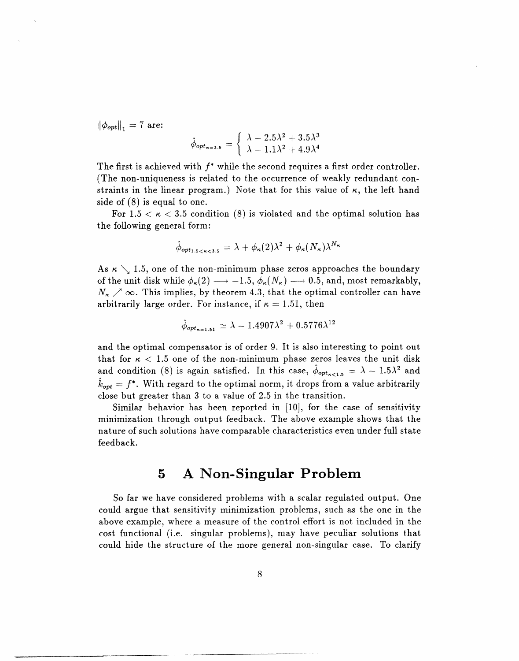$\|\phi_{opt}\|_1 = 7$  are:

$$
\hat{\phi}_{opt_{\kappa=3.5}} = \begin{cases} \lambda - 2.5\lambda^2 + 3.5\lambda^3 \\ \lambda - 1.1\lambda^2 + 4.9\lambda^4 \end{cases}
$$

The first is achieved with *f\** while the second requires a first order controller. (The non-uniqueness is related to the occurrence of weakly redundant constraints in the linear program.) Note that for this value of  $\kappa$ , the left hand side of (8) is equal to one.

For  $1.5 < \kappa < 3.5$  condition (8) is violated and the optimal solution has the following general form:

$$
\hat{\phi}_{opt_{1.5 < \kappa < 3.5}} = \lambda + \phi_{\kappa}(2)\lambda^2 + \phi_{\kappa}(N_{\kappa})\lambda^{N_{\kappa}}
$$

As  $\kappa \setminus 1.5$ , one of the non-minimum phase zeros approaches the boundary of the unit disk while  $\phi_{\kappa}(2) \longrightarrow -1.5$ ,  $\phi_{\kappa}(N_{\kappa}) \longrightarrow 0.5$ , and, most remarkably,  $N_{\rm g} \nearrow \infty$ . This implies, by theorem 4.3, that the optimal controller can have arbitrarily large order. For instance, if  $\kappa = 1.51$ , then

$$
\hat{\phi}_{opt_{\boldsymbol{\kappa} = 1.51}} \simeq \lambda - 1.4907 \lambda^2 + 0.5776 \lambda^{12}
$$

and the optimal compensator is of order 9. It is also interesting to point out that for  $\kappa$  < 1.5 one of the non-minimum phase zeros leaves the unit disk and condition (8) is again satisfied. In this case,  $\hat{\phi}_{opt_{\kappa<1.5}} = \lambda - 1.5\lambda^2$  and  $\hat{k}_{opt} = f^*$ . With regard to the optimal norm, it drops from a value arbitrarily close but greater than 3 to a value of 2.5 in the transition.

Similar behavior has been reported in [10], for the case of sensitivity minimization through output feedback. The above example shows that the nature of such solutions have comparable characteristics even under full state feedback.

### **5 A Non-Singular Problem**

So far we have considered problems with a scalar regulated output. One could argue that sensitivity minimization problems, such as the one in the above example, where a measure of the control effort is not included in the cost functional (i.e. singular problems), may have peculiar solutions that could hide the structure of the more general non-singular case. To clarify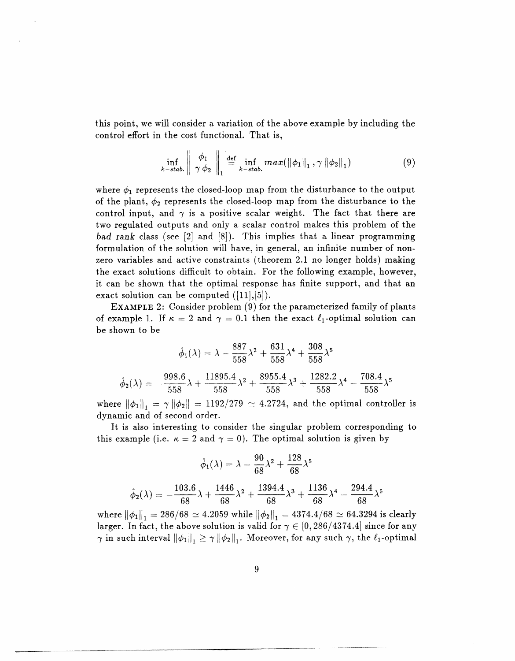this point, we will consider a variation of the above example by including the control effort in the cost functional. That is,

$$
\inf_{k-stab.} \left\| \begin{array}{c} \phi_1 \\ \gamma \phi_2 \end{array} \right\|_1 \stackrel{\text{def}}{=} \inf_{k-stab.} max(||\phi_1||_1, \gamma ||\phi_2||_1)
$$
 (9)

where  $\phi_1$  represents the closed-loop map from the disturbance to the output of the plant,  $\phi_2$  represents the closed-loop map from the disturbance to the control input, and  $\gamma$  is a positive scalar weight. The fact that there are two regulated outputs and only a scalar control makes this problem of the *bad rank* class (see [2] and [8]). This implies that a linear programming formulation of the solution will have, in general, an infinite number of nonzero variables and active constraints (theorem 2.1 no longer holds) making the exact solutions difficult to obtain. For the following example, however, it can be shown that the optimal response has finite support, and that an exact solution can be computed  $([11],[5])$ .

**EXAMPLE 2:** Consider problem (9) for the parameterized family of plants of example 1. If  $\kappa = 2$  and  $\gamma = 0.1$  then the exact  $\ell_1$ -optimal solution can be shown to be

$$
\hat{\phi}_1(\lambda) = \lambda - \frac{887}{558}\lambda^2 + \frac{631}{558}\lambda^4 + \frac{308}{558}\lambda^5
$$

$$
\hat{\phi}_2(\lambda) = -\frac{998.6}{558}\lambda + \frac{11895.4}{558}\lambda^2 + \frac{8955.4}{558}\lambda^3 + \frac{1282.2}{558}\lambda^4 - \frac{708.4}{558}\lambda^5
$$

where  $\|\phi_1\|_1 = \gamma \|\phi_2\| = 1192/279 \simeq 4.2724$ , and the optimal controller is dynamic and of second order.

It is also interesting to consider the singular problem corresponding to this example (i.e.  $\kappa = 2$  and  $\gamma = 0$ ). The optimal solution is given by

$$
\hat{\phi}_1(\lambda) = \lambda - \frac{90}{68}\lambda^2 + \frac{128}{68}\lambda^5
$$

$$
\hat{\phi}_2(\lambda) = -\frac{103.6}{68}\lambda + \frac{1446}{68}\lambda^2 + \frac{1394.4}{68}\lambda^3 + \frac{1136}{68}\lambda^4 - \frac{294.4}{68}\lambda^5
$$

where  $\|\phi_1\|_1 = 286/68 \approx 4.2059$  while  $\|\phi_2\|_1 = 4374.4/68 \approx 64.3294$  is clearly larger. In fact, the above solution is valid for  $\gamma \in [0, 286/4374.4]$  since for any  $\gamma$  in such interval  $\|\phi_1\|_1 \geq \gamma \|\phi_2\|_1$ . Moreover, for any such  $\gamma$ , the  $\ell_1$ -optimal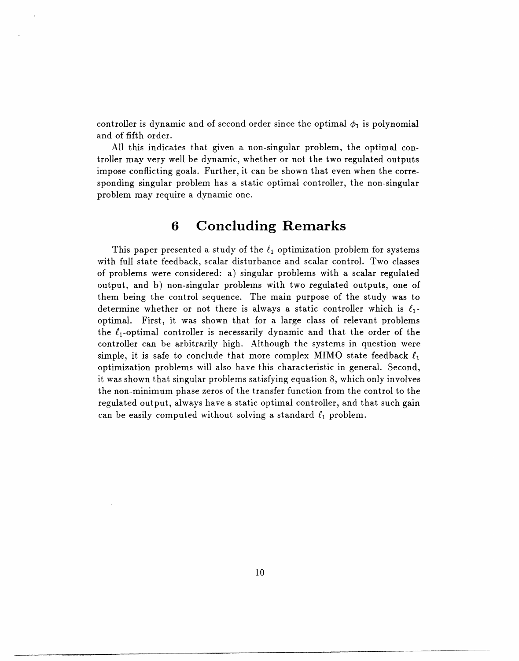controller is dynamic and of second order since the optimal  $\phi_1$  is polynomial and of fifth order.

All this indicates that given a non-singular problem, the optimal controller may very well be dynamic, whether or not the two regulated outputs impose conflicting goals. Further, it can be shown that even when the corresponding singular problem has a static optimal controller, the non-singular problem may require a dynamic one.

### **6 Concluding Remarks**

This paper presented a study of the  $\ell_1$  optimization problem for systems with full state feedback, scalar disturbance and scalar control. Two classes of problems were considered: a) singular problems with a scalar regulated output, and b) non-singular problems with two regulated outputs, one of them being the control sequence. The main purpose of the study was to determine whether or not there is always a static controller which is  $\ell_1$ optimal. First, it was shown that for a large class of relevant problems the  $\ell_1$ -optimal controller is necessarily dynamic and that the order of the controller can be arbitrarily high. Although the systems in question were simple, it is safe to conclude that more complex MIMO state feedback  $\ell_1$ optimization problems will also have this characteristic in general. Second, it was shown that singular problems satisfying equation 8, which only involves the non-minimum phase zeros of the transfer function from the control to the regulated output, always have a static optimal controller, and that such gain can be easily computed without solving a standard  $\ell_1$  problem.